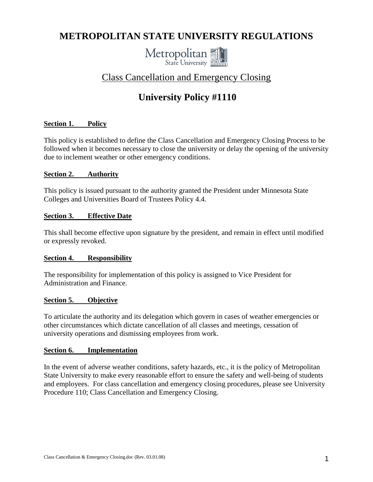# **METROPOLITAN STATE UNIVERSITY REGULATIONS**



# Class Cancellation and Emergency Closing

# **University Policy #1110**

## **Section 1. Policy**

This policy is established to define the Class Cancellation and Emergency Closing Process to be followed when it becomes necessary to close the university or delay the opening of the university due to inclement weather or other emergency conditions.

## **Section 2. Authority**

This policy is issued pursuant to the authority granted the President under Minnesota State Colleges and Universities Board of Trustees Policy 4.4.

#### **Section 3. Effective Date**

This shall become effective upon signature by the president, and remain in effect until modified or expressly revoked.

#### **Section 4. Responsibility**

The responsibility for implementation of this policy is assigned to Vice President for Administration and Finance.

## **Section 5. Objective**

To articulate the authority and its delegation which govern in cases of weather emergencies or other circumstances which dictate cancellation of all classes and meetings, cessation of university operations and dismissing employees from work.

#### **Section 6. Implementation**

In the event of adverse weather conditions, safety hazards, etc., it is the policy of Metropolitan State University to make every reasonable effort to ensure the safety and well-being of students and employees. For class cancellation and emergency closing procedures, please see University Procedure 110; Class Cancellation and Emergency Closing.